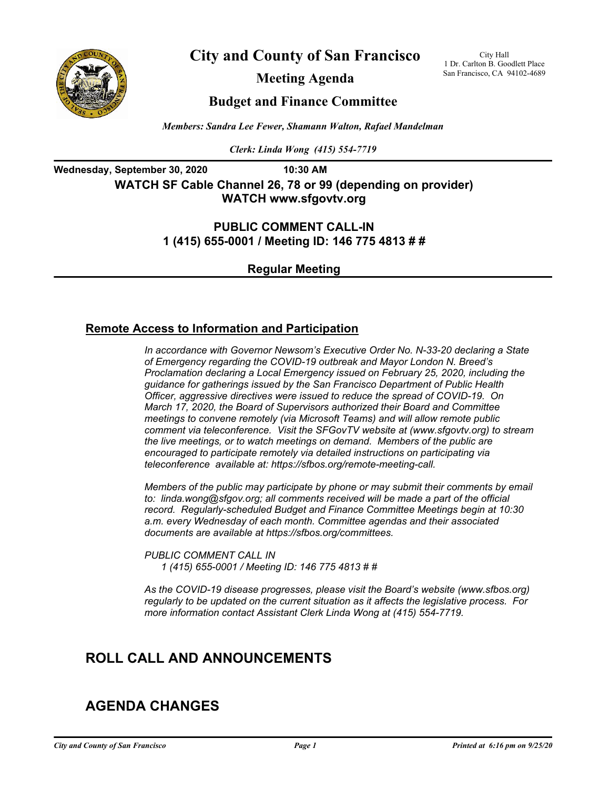

**City and County of San Francisco**

**Meeting Agenda**

City Hall 1 Dr. Carlton B. Goodlett Place San Francisco, CA 94102-4689

# **Budget and Finance Committee**

*Members: Sandra Lee Fewer, Shamann Walton, Rafael Mandelman*

*Clerk: Linda Wong (415) 554-7719*

**Wednesday, September 30, 2020 10:30 AM WATCH SF Cable Channel 26, 78 or 99 (depending on provider) WATCH www.sfgovtv.org**

> **PUBLIC COMMENT CALL-IN 1 (415) 655-0001 / Meeting ID: 146 775 4813 # #**

> > **Regular Meeting**

# **Remote Access to Information and Participation**

*In accordance with Governor Newsom's Executive Order No. N-33-20 declaring a State of Emergency regarding the COVID-19 outbreak and Mayor London N. Breed's Proclamation declaring a Local Emergency issued on February 25, 2020, including the guidance for gatherings issued by the San Francisco Department of Public Health Officer, aggressive directives were issued to reduce the spread of COVID-19. On March 17, 2020, the Board of Supervisors authorized their Board and Committee meetings to convene remotely (via Microsoft Teams) and will allow remote public comment via teleconference. Visit the SFGovTV website at (www.sfgovtv.org) to stream the live meetings, or to watch meetings on demand. Members of the public are encouraged to participate remotely via detailed instructions on participating via teleconference available at: https://sfbos.org/remote-meeting-call.* 

*Members of the public may participate by phone or may submit their comments by email to: linda.wong@sfgov.org; all comments received will be made a part of the official record. Regularly-scheduled Budget and Finance Committee Meetings begin at 10:30 a.m. every Wednesday of each month. Committee agendas and their associated documents are available at https://sfbos.org/committees.* 

*PUBLIC COMMENT CALL IN 1 (415) 655-0001 / Meeting ID: 146 775 4813 # #*

*As the COVID-19 disease progresses, please visit the Board's website (www.sfbos.org) regularly to be updated on the current situation as it affects the legislative process. For more information contact Assistant Clerk Linda Wong at (415) 554-7719.*

# **ROLL CALL AND ANNOUNCEMENTS**

# **AGENDA CHANGES**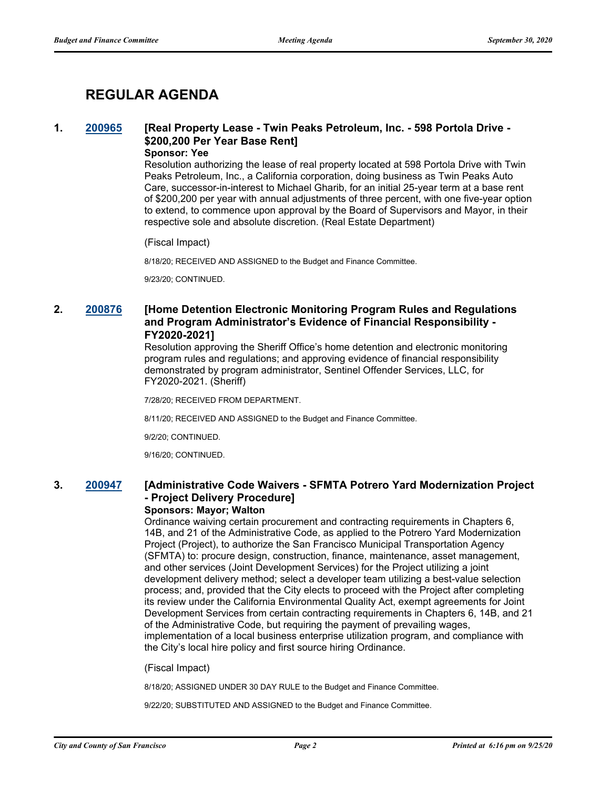# **REGULAR AGENDA**

# **1. [200965](http://sfgov.legistar.com/gateway.aspx?m=l&id=36401) [Real Property Lease - Twin Peaks Petroleum, Inc. - 598 Portola Drive - \$200,200 Per Year Base Rent]**

#### **Sponsor: Yee**

Resolution authorizing the lease of real property located at 598 Portola Drive with Twin Peaks Petroleum, Inc., a California corporation, doing business as Twin Peaks Auto Care, successor-in-interest to Michael Gharib, for an initial 25-year term at a base rent of \$200,200 per year with annual adjustments of three percent, with one five-year option to extend, to commence upon approval by the Board of Supervisors and Mayor, in their respective sole and absolute discretion. (Real Estate Department)

#### (Fiscal Impact)

8/18/20; RECEIVED AND ASSIGNED to the Budget and Finance Committee.

9/23/20; CONTINUED.

## **2. [200876](http://sfgov.legistar.com/gateway.aspx?m=l&id=36312) [Home Detention Electronic Monitoring Program Rules and Regulations and Program Administrator's Evidence of Financial Responsibility - FY2020-2021]**

Resolution approving the Sheriff Office's home detention and electronic monitoring program rules and regulations; and approving evidence of financial responsibility demonstrated by program administrator, Sentinel Offender Services, LLC, for FY2020-2021. (Sheriff)

7/28/20; RECEIVED FROM DEPARTMENT.

8/11/20; RECEIVED AND ASSIGNED to the Budget and Finance Committee.

9/2/20; CONTINUED.

9/16/20; CONTINUED.

# **3. [200947](http://sfgov.legistar.com/gateway.aspx?m=l&id=36383) [Administrative Code Waivers - SFMTA Potrero Yard Modernization Project - Project Delivery Procedure]**

#### **Sponsors: Mayor; Walton**

Ordinance waiving certain procurement and contracting requirements in Chapters 6, 14B, and 21 of the Administrative Code, as applied to the Potrero Yard Modernization Project (Project), to authorize the San Francisco Municipal Transportation Agency (SFMTA) to: procure design, construction, finance, maintenance, asset management, and other services (Joint Development Services) for the Project utilizing a joint development delivery method; select a developer team utilizing a best-value selection process; and, provided that the City elects to proceed with the Project after completing its review under the California Environmental Quality Act, exempt agreements for Joint Development Services from certain contracting requirements in Chapters 6, 14B, and 21 of the Administrative Code, but requiring the payment of prevailing wages, implementation of a local business enterprise utilization program, and compliance with the City's local hire policy and first source hiring Ordinance.

#### (Fiscal Impact)

8/18/20; ASSIGNED UNDER 30 DAY RULE to the Budget and Finance Committee.

9/22/20; SUBSTITUTED AND ASSIGNED to the Budget and Finance Committee.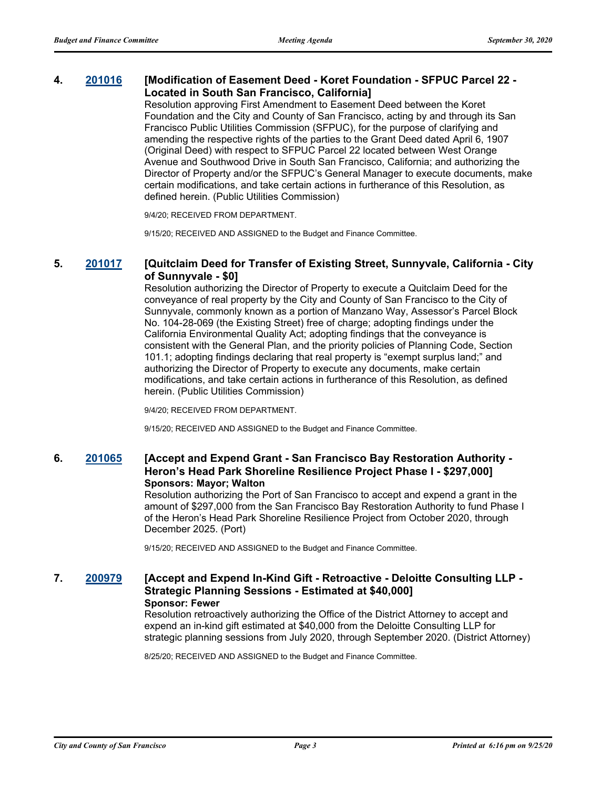## **4. [201016](http://sfgov.legistar.com/gateway.aspx?m=l&id=36452) [Modification of Easement Deed - Koret Foundation - SFPUC Parcel 22 - Located in South San Francisco, California]**

Resolution approving First Amendment to Easement Deed between the Koret Foundation and the City and County of San Francisco, acting by and through its San Francisco Public Utilities Commission (SFPUC), for the purpose of clarifying and amending the respective rights of the parties to the Grant Deed dated April 6, 1907 (Original Deed) with respect to SFPUC Parcel 22 located between West Orange Avenue and Southwood Drive in South San Francisco, California; and authorizing the Director of Property and/or the SFPUC's General Manager to execute documents, make certain modifications, and take certain actions in furtherance of this Resolution, as defined herein. (Public Utilities Commission)

9/4/20; RECEIVED FROM DEPARTMENT.

9/15/20; RECEIVED AND ASSIGNED to the Budget and Finance Committee.

## **5. [201017](http://sfgov.legistar.com/gateway.aspx?m=l&id=36453) [Quitclaim Deed for Transfer of Existing Street, Sunnyvale, California - City of Sunnyvale - \$0]**

Resolution authorizing the Director of Property to execute a Quitclaim Deed for the conveyance of real property by the City and County of San Francisco to the City of Sunnyvale, commonly known as a portion of Manzano Way, Assessor's Parcel Block No. 104-28-069 (the Existing Street) free of charge; adopting findings under the California Environmental Quality Act; adopting findings that the conveyance is consistent with the General Plan, and the priority policies of Planning Code, Section 101.1; adopting findings declaring that real property is "exempt surplus land;" and authorizing the Director of Property to execute any documents, make certain modifications, and take certain actions in furtherance of this Resolution, as defined herein. (Public Utilities Commission)

9/4/20; RECEIVED FROM DEPARTMENT.

9/15/20; RECEIVED AND ASSIGNED to the Budget and Finance Committee.

### **6. [201065](http://sfgov.legistar.com/gateway.aspx?m=l&id=36501) [Accept and Expend Grant - San Francisco Bay Restoration Authority - Heron's Head Park Shoreline Resilience Project Phase I - \$297,000] Sponsors: Mayor; Walton**

Resolution authorizing the Port of San Francisco to accept and expend a grant in the amount of \$297,000 from the San Francisco Bay Restoration Authority to fund Phase I of the Heron's Head Park Shoreline Resilience Project from October 2020, through December 2025. (Port)

9/15/20; RECEIVED AND ASSIGNED to the Budget and Finance Committee.

## **7. [200979](http://sfgov.legistar.com/gateway.aspx?m=l&id=36415) [Accept and Expend In-Kind Gift - Retroactive - Deloitte Consulting LLP - Strategic Planning Sessions - Estimated at \$40,000] Sponsor: Fewer**

Resolution retroactively authorizing the Office of the District Attorney to accept and expend an in-kind gift estimated at \$40,000 from the Deloitte Consulting LLP for strategic planning sessions from July 2020, through September 2020. (District Attorney)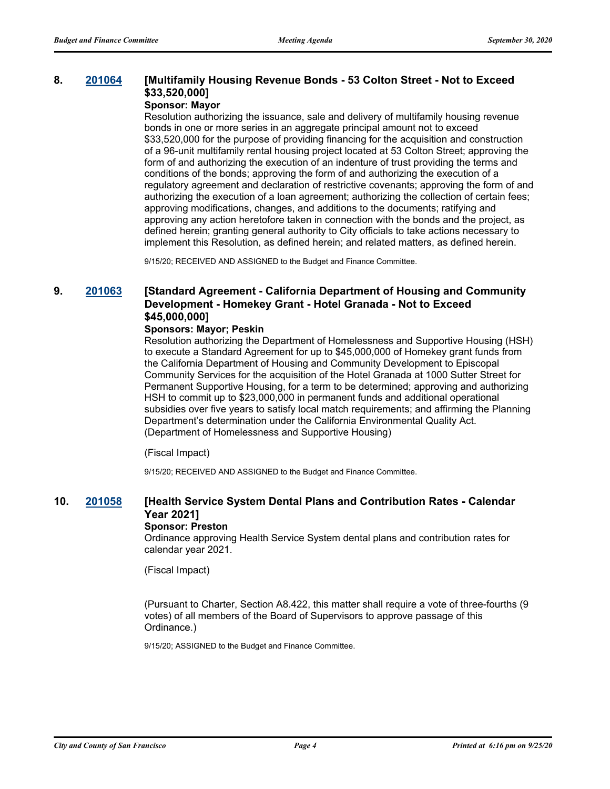# **8. [201064](http://sfgov.legistar.com/gateway.aspx?m=l&id=36500) [Multifamily Housing Revenue Bonds - 53 Colton Street - Not to Exceed \$33,520,000]**

## **Sponsor: Mayor**

Resolution authorizing the issuance, sale and delivery of multifamily housing revenue bonds in one or more series in an aggregate principal amount not to exceed \$33,520,000 for the purpose of providing financing for the acquisition and construction of a 96-unit multifamily rental housing project located at 53 Colton Street; approving the form of and authorizing the execution of an indenture of trust providing the terms and conditions of the bonds; approving the form of and authorizing the execution of a regulatory agreement and declaration of restrictive covenants; approving the form of and authorizing the execution of a loan agreement; authorizing the collection of certain fees; approving modifications, changes, and additions to the documents; ratifying and approving any action heretofore taken in connection with the bonds and the project, as defined herein; granting general authority to City officials to take actions necessary to implement this Resolution, as defined herein; and related matters, as defined herein.

9/15/20; RECEIVED AND ASSIGNED to the Budget and Finance Committee.

## **9. [201063](http://sfgov.legistar.com/gateway.aspx?m=l&id=36499) [Standard Agreement - California Department of Housing and Community Development - Homekey Grant - Hotel Granada - Not to Exceed \$45,000,000]**

#### **Sponsors: Mayor; Peskin**

Resolution authorizing the Department of Homelessness and Supportive Housing (HSH) to execute a Standard Agreement for up to \$45,000,000 of Homekey grant funds from the California Department of Housing and Community Development to Episcopal Community Services for the acquisition of the Hotel Granada at 1000 Sutter Street for Permanent Supportive Housing, for a term to be determined; approving and authorizing HSH to commit up to \$23,000,000 in permanent funds and additional operational subsidies over five years to satisfy local match requirements; and affirming the Planning Department's determination under the California Environmental Quality Act. (Department of Homelessness and Supportive Housing)

(Fiscal Impact)

9/15/20; RECEIVED AND ASSIGNED to the Budget and Finance Committee.

# **10. [201058](http://sfgov.legistar.com/gateway.aspx?m=l&id=36494) [Health Service System Dental Plans and Contribution Rates - Calendar Year 2021]**

#### **Sponsor: Preston**

Ordinance approving Health Service System dental plans and contribution rates for calendar year 2021.

(Fiscal Impact)

(Pursuant to Charter, Section A8.422, this matter shall require a vote of three-fourths (9 votes) of all members of the Board of Supervisors to approve passage of this Ordinance.)

9/15/20; ASSIGNED to the Budget and Finance Committee.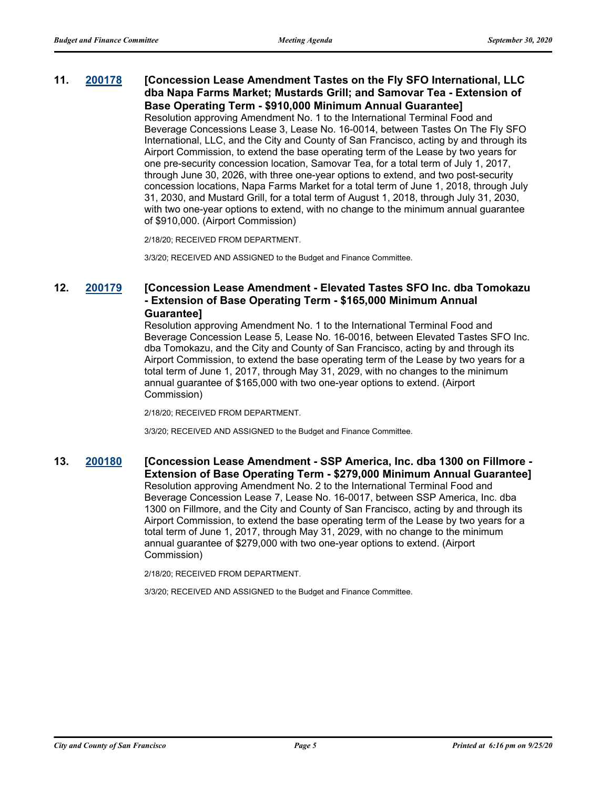# **11. [200178](http://sfgov.legistar.com/gateway.aspx?m=l&id=35614) [Concession Lease Amendment Tastes on the Fly SFO International, LLC dba Napa Farms Market; Mustards Grill; and Samovar Tea - Extension of Base Operating Term - \$910,000 Minimum Annual Guarantee]** Resolution approving Amendment No. 1 to the International Terminal Food and

Beverage Concessions Lease 3, Lease No. 16-0014, between Tastes On The Fly SFO International, LLC, and the City and County of San Francisco, acting by and through its Airport Commission, to extend the base operating term of the Lease by two years for one pre-security concession location, Samovar Tea, for a total term of July 1, 2017, through June 30, 2026, with three one-year options to extend, and two post-security concession locations, Napa Farms Market for a total term of June 1, 2018, through July 31, 2030, and Mustard Grill, for a total term of August 1, 2018, through July 31, 2030, with two one-year options to extend, with no change to the minimum annual guarantee of \$910,000. (Airport Commission)

2/18/20; RECEIVED FROM DEPARTMENT.

3/3/20; RECEIVED AND ASSIGNED to the Budget and Finance Committee.

# **12. [200179](http://sfgov.legistar.com/gateway.aspx?m=l&id=35615) [Concession Lease Amendment - Elevated Tastes SFO Inc. dba Tomokazu - Extension of Base Operating Term - \$165,000 Minimum Annual Guarantee]**

Resolution approving Amendment No. 1 to the International Terminal Food and Beverage Concession Lease 5, Lease No. 16-0016, between Elevated Tastes SFO Inc. dba Tomokazu, and the City and County of San Francisco, acting by and through its Airport Commission, to extend the base operating term of the Lease by two years for a total term of June 1, 2017, through May 31, 2029, with no changes to the minimum annual guarantee of \$165,000 with two one-year options to extend. (Airport Commission)

2/18/20; RECEIVED FROM DEPARTMENT.

3/3/20; RECEIVED AND ASSIGNED to the Budget and Finance Committee.

### **13. [200180](http://sfgov.legistar.com/gateway.aspx?m=l&id=35616) [Concession Lease Amendment - SSP America, Inc. dba 1300 on Fillmore - Extension of Base Operating Term - \$279,000 Minimum Annual Guarantee]** Resolution approving Amendment No. 2 to the International Terminal Food and Beverage Concession Lease 7, Lease No. 16-0017, between SSP America, Inc. dba 1300 on Fillmore, and the City and County of San Francisco, acting by and through its Airport Commission, to extend the base operating term of the Lease by two years for a total term of June 1, 2017, through May 31, 2029, with no change to the minimum annual guarantee of \$279,000 with two one-year options to extend. (Airport Commission)

2/18/20; RECEIVED FROM DEPARTMENT.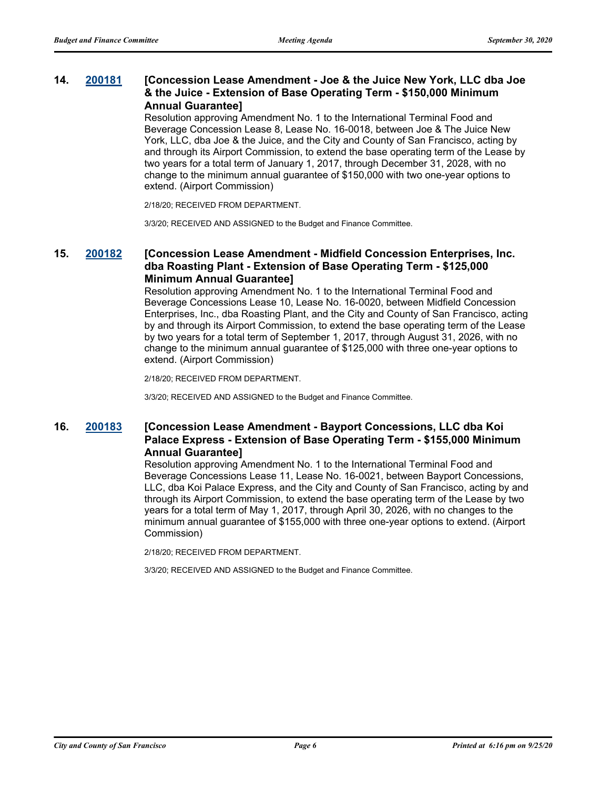## **14. [200181](http://sfgov.legistar.com/gateway.aspx?m=l&id=35617) [Concession Lease Amendment - Joe & the Juice New York, LLC dba Joe & the Juice - Extension of Base Operating Term - \$150,000 Minimum Annual Guarantee]**

Resolution approving Amendment No. 1 to the International Terminal Food and Beverage Concession Lease 8, Lease No. 16-0018, between Joe & The Juice New York, LLC, dba Joe & the Juice, and the City and County of San Francisco, acting by and through its Airport Commission, to extend the base operating term of the Lease by two years for a total term of January 1, 2017, through December 31, 2028, with no change to the minimum annual guarantee of \$150,000 with two one-year options to extend. (Airport Commission)

2/18/20; RECEIVED FROM DEPARTMENT.

3/3/20; RECEIVED AND ASSIGNED to the Budget and Finance Committee.

## **15. [200182](http://sfgov.legistar.com/gateway.aspx?m=l&id=35618) [Concession Lease Amendment - Midfield Concession Enterprises, Inc. dba Roasting Plant - Extension of Base Operating Term - \$125,000 Minimum Annual Guarantee]**

Resolution approving Amendment No. 1 to the International Terminal Food and Beverage Concessions Lease 10, Lease No. 16-0020, between Midfield Concession Enterprises, Inc., dba Roasting Plant, and the City and County of San Francisco, acting by and through its Airport Commission, to extend the base operating term of the Lease by two years for a total term of September 1, 2017, through August 31, 2026, with no change to the minimum annual guarantee of \$125,000 with three one-year options to extend. (Airport Commission)

2/18/20; RECEIVED FROM DEPARTMENT.

3/3/20; RECEIVED AND ASSIGNED to the Budget and Finance Committee.

## **16. [200183](http://sfgov.legistar.com/gateway.aspx?m=l&id=35619) [Concession Lease Amendment - Bayport Concessions, LLC dba Koi Palace Express - Extension of Base Operating Term - \$155,000 Minimum Annual Guarantee]**

Resolution approving Amendment No. 1 to the International Terminal Food and Beverage Concessions Lease 11, Lease No. 16-0021, between Bayport Concessions, LLC, dba Koi Palace Express, and the City and County of San Francisco, acting by and through its Airport Commission, to extend the base operating term of the Lease by two years for a total term of May 1, 2017, through April 30, 2026, with no changes to the minimum annual guarantee of \$155,000 with three one-year options to extend. (Airport Commission)

2/18/20; RECEIVED FROM DEPARTMENT.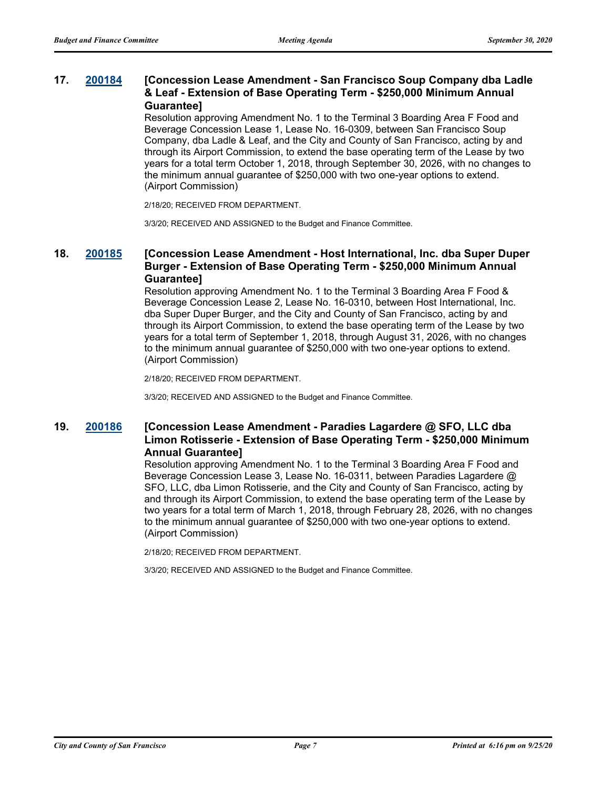### **17. [200184](http://sfgov.legistar.com/gateway.aspx?m=l&id=35620) [Concession Lease Amendment - San Francisco Soup Company dba Ladle & Leaf - Extension of Base Operating Term - \$250,000 Minimum Annual Guarantee]**

Resolution approving Amendment No. 1 to the Terminal 3 Boarding Area F Food and Beverage Concession Lease 1, Lease No. 16-0309, between San Francisco Soup Company, dba Ladle & Leaf, and the City and County of San Francisco, acting by and through its Airport Commission, to extend the base operating term of the Lease by two years for a total term October 1, 2018, through September 30, 2026, with no changes to the minimum annual guarantee of \$250,000 with two one-year options to extend. (Airport Commission)

2/18/20; RECEIVED FROM DEPARTMENT.

3/3/20; RECEIVED AND ASSIGNED to the Budget and Finance Committee.

## **18. [200185](http://sfgov.legistar.com/gateway.aspx?m=l&id=35621) [Concession Lease Amendment - Host International, Inc. dba Super Duper Burger - Extension of Base Operating Term - \$250,000 Minimum Annual Guarantee]**

Resolution approving Amendment No. 1 to the Terminal 3 Boarding Area F Food & Beverage Concession Lease 2, Lease No. 16-0310, between Host International, Inc. dba Super Duper Burger, and the City and County of San Francisco, acting by and through its Airport Commission, to extend the base operating term of the Lease by two years for a total term of September 1, 2018, through August 31, 2026, with no changes to the minimum annual guarantee of \$250,000 with two one-year options to extend. (Airport Commission)

2/18/20; RECEIVED FROM DEPARTMENT.

3/3/20; RECEIVED AND ASSIGNED to the Budget and Finance Committee.

## **19. [200186](http://sfgov.legistar.com/gateway.aspx?m=l&id=35622) [Concession Lease Amendment - Paradies Lagardere @ SFO, LLC dba Limon Rotisserie - Extension of Base Operating Term - \$250,000 Minimum Annual Guarantee]**

Resolution approving Amendment No. 1 to the Terminal 3 Boarding Area F Food and Beverage Concession Lease 3, Lease No. 16-0311, between Paradies Lagardere @ SFO, LLC, dba Limon Rotisserie, and the City and County of San Francisco, acting by and through its Airport Commission, to extend the base operating term of the Lease by two years for a total term of March 1, 2018, through February 28, 2026, with no changes to the minimum annual guarantee of \$250,000 with two one-year options to extend. (Airport Commission)

2/18/20; RECEIVED FROM DEPARTMENT.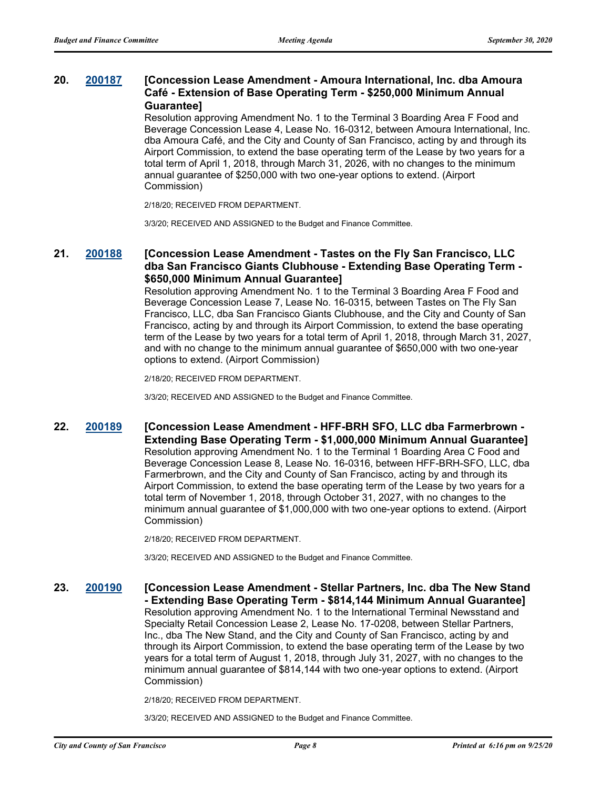### **20. [200187](http://sfgov.legistar.com/gateway.aspx?m=l&id=35623) [Concession Lease Amendment - Amoura International, Inc. dba Amoura Café - Extension of Base Operating Term - \$250,000 Minimum Annual Guarantee]**

Resolution approving Amendment No. 1 to the Terminal 3 Boarding Area F Food and Beverage Concession Lease 4, Lease No. 16-0312, between Amoura International, Inc. dba Amoura Café, and the City and County of San Francisco, acting by and through its Airport Commission, to extend the base operating term of the Lease by two years for a total term of April 1, 2018, through March 31, 2026, with no changes to the minimum annual guarantee of \$250,000 with two one-year options to extend. (Airport Commission)

2/18/20; RECEIVED FROM DEPARTMENT.

3/3/20; RECEIVED AND ASSIGNED to the Budget and Finance Committee.

## **21. [200188](http://sfgov.legistar.com/gateway.aspx?m=l&id=35624) [Concession Lease Amendment - Tastes on the Fly San Francisco, LLC dba San Francisco Giants Clubhouse - Extending Base Operating Term - \$650,000 Minimum Annual Guarantee]**

Resolution approving Amendment No. 1 to the Terminal 3 Boarding Area F Food and Beverage Concession Lease 7, Lease No. 16-0315, between Tastes on The Fly San Francisco, LLC, dba San Francisco Giants Clubhouse, and the City and County of San Francisco, acting by and through its Airport Commission, to extend the base operating term of the Lease by two years for a total term of April 1, 2018, through March 31, 2027, and with no change to the minimum annual guarantee of \$650,000 with two one-year options to extend. (Airport Commission)

2/18/20; RECEIVED FROM DEPARTMENT.

3/3/20; RECEIVED AND ASSIGNED to the Budget and Finance Committee.

**22. [200189](http://sfgov.legistar.com/gateway.aspx?m=l&id=35625) [Concession Lease Amendment - HFF-BRH SFO, LLC dba Farmerbrown - Extending Base Operating Term - \$1,000,000 Minimum Annual Guarantee]** Resolution approving Amendment No. 1 to the Terminal 1 Boarding Area C Food and Beverage Concession Lease 8, Lease No. 16-0316, between HFF-BRH-SFO, LLC, dba Farmerbrown, and the City and County of San Francisco, acting by and through its Airport Commission, to extend the base operating term of the Lease by two years for a total term of November 1, 2018, through October 31, 2027, with no changes to the minimum annual guarantee of \$1,000,000 with two one-year options to extend. (Airport Commission)

2/18/20; RECEIVED FROM DEPARTMENT.

3/3/20; RECEIVED AND ASSIGNED to the Budget and Finance Committee.

**23. [200190](http://sfgov.legistar.com/gateway.aspx?m=l&id=35626) [Concession Lease Amendment - Stellar Partners, Inc. dba The New Stand - Extending Base Operating Term - \$814,144 Minimum Annual Guarantee]** Resolution approving Amendment No. 1 to the International Terminal Newsstand and Specialty Retail Concession Lease 2, Lease No. 17-0208, between Stellar Partners, Inc., dba The New Stand, and the City and County of San Francisco, acting by and through its Airport Commission, to extend the base operating term of the Lease by two years for a total term of August 1, 2018, through July 31, 2027, with no changes to the minimum annual guarantee of \$814,144 with two one-year options to extend. (Airport Commission)

2/18/20; RECEIVED FROM DEPARTMENT.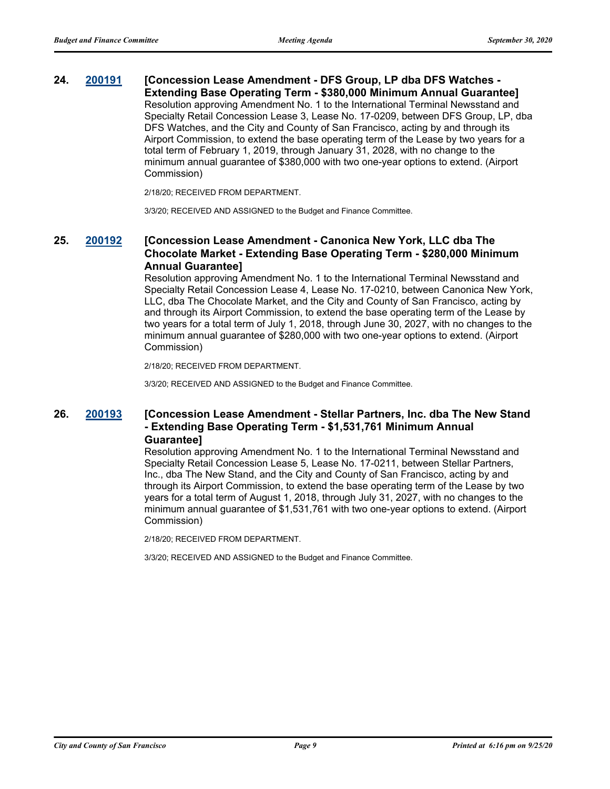**24. [200191](http://sfgov.legistar.com/gateway.aspx?m=l&id=35627) [Concession Lease Amendment - DFS Group, LP dba DFS Watches - Extending Base Operating Term - \$380,000 Minimum Annual Guarantee]** Resolution approving Amendment No. 1 to the International Terminal Newsstand and Specialty Retail Concession Lease 3, Lease No. 17-0209, between DFS Group, LP, dba DFS Watches, and the City and County of San Francisco, acting by and through its Airport Commission, to extend the base operating term of the Lease by two years for a total term of February 1, 2019, through January 31, 2028, with no change to the minimum annual guarantee of \$380,000 with two one-year options to extend. (Airport Commission)

2/18/20; RECEIVED FROM DEPARTMENT.

3/3/20; RECEIVED AND ASSIGNED to the Budget and Finance Committee.

## **25. [200192](http://sfgov.legistar.com/gateway.aspx?m=l&id=35628) [Concession Lease Amendment - Canonica New York, LLC dba The Chocolate Market - Extending Base Operating Term - \$280,000 Minimum Annual Guarantee]**

Resolution approving Amendment No. 1 to the International Terminal Newsstand and Specialty Retail Concession Lease 4, Lease No. 17-0210, between Canonica New York, LLC, dba The Chocolate Market, and the City and County of San Francisco, acting by and through its Airport Commission, to extend the base operating term of the Lease by two years for a total term of July 1, 2018, through June 30, 2027, with no changes to the minimum annual guarantee of \$280,000 with two one-year options to extend. (Airport Commission)

2/18/20; RECEIVED FROM DEPARTMENT.

3/3/20; RECEIVED AND ASSIGNED to the Budget and Finance Committee.

## **26. [200193](http://sfgov.legistar.com/gateway.aspx?m=l&id=35629) [Concession Lease Amendment - Stellar Partners, Inc. dba The New Stand - Extending Base Operating Term - \$1,531,761 Minimum Annual Guarantee]**

Resolution approving Amendment No. 1 to the International Terminal Newsstand and Specialty Retail Concession Lease 5, Lease No. 17-0211, between Stellar Partners, Inc., dba The New Stand, and the City and County of San Francisco, acting by and through its Airport Commission, to extend the base operating term of the Lease by two years for a total term of August 1, 2018, through July 31, 2027, with no changes to the minimum annual guarantee of \$1,531,761 with two one-year options to extend. (Airport Commission)

2/18/20; RECEIVED FROM DEPARTMENT.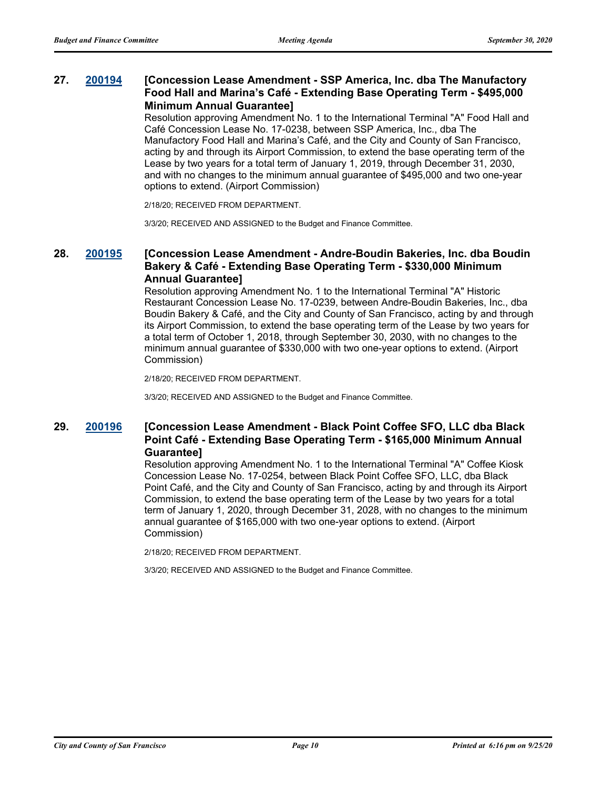## **27. [200194](http://sfgov.legistar.com/gateway.aspx?m=l&id=35630) [Concession Lease Amendment - SSP America, Inc. dba The Manufactory Food Hall and Marina's Café - Extending Base Operating Term - \$495,000 Minimum Annual Guarantee]**

Resolution approving Amendment No. 1 to the International Terminal "A" Food Hall and Café Concession Lease No. 17-0238, between SSP America, Inc., dba The Manufactory Food Hall and Marina's Café, and the City and County of San Francisco, acting by and through its Airport Commission, to extend the base operating term of the Lease by two years for a total term of January 1, 2019, through December 31, 2030, and with no changes to the minimum annual guarantee of \$495,000 and two one-year options to extend. (Airport Commission)

2/18/20; RECEIVED FROM DEPARTMENT.

3/3/20; RECEIVED AND ASSIGNED to the Budget and Finance Committee.

## **28. [200195](http://sfgov.legistar.com/gateway.aspx?m=l&id=35631) [Concession Lease Amendment - Andre-Boudin Bakeries, Inc. dba Boudin Bakery & Café - Extending Base Operating Term - \$330,000 Minimum Annual Guarantee]**

Resolution approving Amendment No. 1 to the International Terminal "A" Historic Restaurant Concession Lease No. 17-0239, between Andre-Boudin Bakeries, Inc., dba Boudin Bakery & Café, and the City and County of San Francisco, acting by and through its Airport Commission, to extend the base operating term of the Lease by two years for a total term of October 1, 2018, through September 30, 2030, with no changes to the minimum annual guarantee of \$330,000 with two one-year options to extend. (Airport Commission)

2/18/20; RECEIVED FROM DEPARTMENT.

3/3/20; RECEIVED AND ASSIGNED to the Budget and Finance Committee.

## **29. [200196](http://sfgov.legistar.com/gateway.aspx?m=l&id=35632) [Concession Lease Amendment - Black Point Coffee SFO, LLC dba Black Point Café - Extending Base Operating Term - \$165,000 Minimum Annual Guarantee]**

Resolution approving Amendment No. 1 to the International Terminal "A" Coffee Kiosk Concession Lease No. 17-0254, between Black Point Coffee SFO, LLC, dba Black Point Café, and the City and County of San Francisco, acting by and through its Airport Commission, to extend the base operating term of the Lease by two years for a total term of January 1, 2020, through December 31, 2028, with no changes to the minimum annual guarantee of \$165,000 with two one-year options to extend. (Airport Commission)

2/18/20; RECEIVED FROM DEPARTMENT.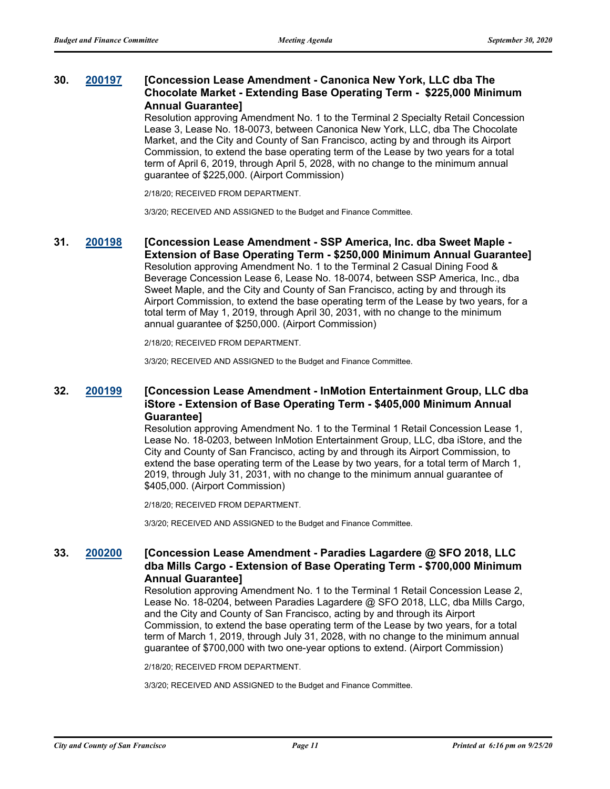## **30. [200197](http://sfgov.legistar.com/gateway.aspx?m=l&id=35633) [Concession Lease Amendment - Canonica New York, LLC dba The Chocolate Market - Extending Base Operating Term - \$225,000 Minimum Annual Guarantee]**

Resolution approving Amendment No. 1 to the Terminal 2 Specialty Retail Concession Lease 3, Lease No. 18-0073, between Canonica New York, LLC, dba The Chocolate Market, and the City and County of San Francisco, acting by and through its Airport Commission, to extend the base operating term of the Lease by two years for a total term of April 6, 2019, through April 5, 2028, with no change to the minimum annual guarantee of \$225,000. (Airport Commission)

2/18/20; RECEIVED FROM DEPARTMENT.

3/3/20; RECEIVED AND ASSIGNED to the Budget and Finance Committee.

#### **31. [200198](http://sfgov.legistar.com/gateway.aspx?m=l&id=35634) [Concession Lease Amendment - SSP America, Inc. dba Sweet Maple - Extension of Base Operating Term - \$250,000 Minimum Annual Guarantee]**

Resolution approving Amendment No. 1 to the Terminal 2 Casual Dining Food & Beverage Concession Lease 6, Lease No. 18-0074, between SSP America, Inc., dba Sweet Maple, and the City and County of San Francisco, acting by and through its Airport Commission, to extend the base operating term of the Lease by two years, for a total term of May 1, 2019, through April 30, 2031, with no change to the minimum annual guarantee of \$250,000. (Airport Commission)

2/18/20; RECEIVED FROM DEPARTMENT.

3/3/20; RECEIVED AND ASSIGNED to the Budget and Finance Committee.

### **32. [200199](http://sfgov.legistar.com/gateway.aspx?m=l&id=35635) [Concession Lease Amendment - InMotion Entertainment Group, LLC dba iStore - Extension of Base Operating Term - \$405,000 Minimum Annual Guarantee]**

Resolution approving Amendment No. 1 to the Terminal 1 Retail Concession Lease 1, Lease No. 18-0203, between InMotion Entertainment Group, LLC, dba iStore, and the City and County of San Francisco, acting by and through its Airport Commission, to extend the base operating term of the Lease by two years, for a total term of March 1, 2019, through July 31, 2031, with no change to the minimum annual guarantee of \$405,000. (Airport Commission)

2/18/20; RECEIVED FROM DEPARTMENT.

3/3/20; RECEIVED AND ASSIGNED to the Budget and Finance Committee.

## **33. [200200](http://sfgov.legistar.com/gateway.aspx?m=l&id=35636) [Concession Lease Amendment - Paradies Lagardere @ SFO 2018, LLC dba Mills Cargo - Extension of Base Operating Term - \$700,000 Minimum Annual Guarantee]**

Resolution approving Amendment No. 1 to the Terminal 1 Retail Concession Lease 2, Lease No. 18-0204, between Paradies Lagardere @ SFO 2018, LLC, dba Mills Cargo, and the City and County of San Francisco, acting by and through its Airport Commission, to extend the base operating term of the Lease by two years, for a total term of March 1, 2019, through July 31, 2028, with no change to the minimum annual guarantee of \$700,000 with two one-year options to extend. (Airport Commission)

2/18/20; RECEIVED FROM DEPARTMENT.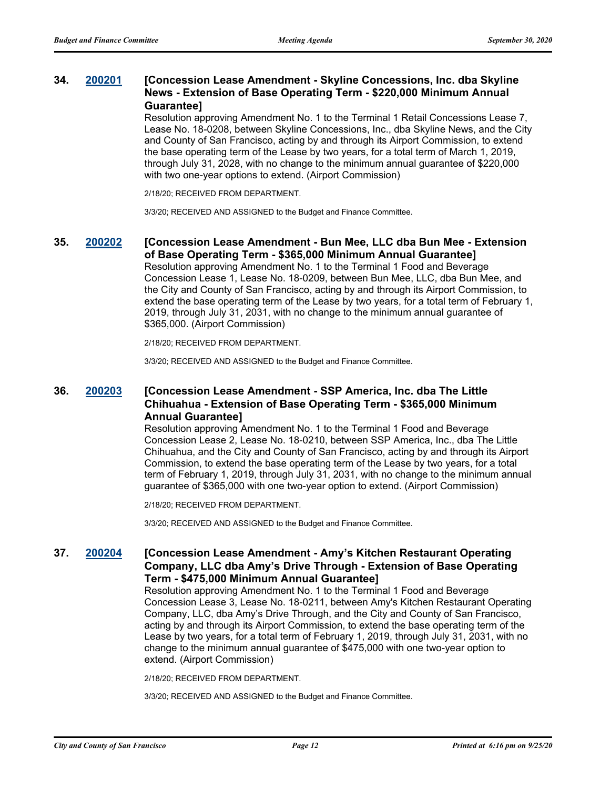### **34. [200201](http://sfgov.legistar.com/gateway.aspx?m=l&id=35637) [Concession Lease Amendment - Skyline Concessions, Inc. dba Skyline News - Extension of Base Operating Term - \$220,000 Minimum Annual Guarantee]**

Resolution approving Amendment No. 1 to the Terminal 1 Retail Concessions Lease 7, Lease No. 18-0208, between Skyline Concessions, Inc., dba Skyline News, and the City and County of San Francisco, acting by and through its Airport Commission, to extend the base operating term of the Lease by two years, for a total term of March 1, 2019, through July 31, 2028, with no change to the minimum annual guarantee of \$220,000 with two one-year options to extend. (Airport Commission)

2/18/20; RECEIVED FROM DEPARTMENT.

3/3/20; RECEIVED AND ASSIGNED to the Budget and Finance Committee.

### **35. [200202](http://sfgov.legistar.com/gateway.aspx?m=l&id=35638) [Concession Lease Amendment - Bun Mee, LLC dba Bun Mee - Extension of Base Operating Term - \$365,000 Minimum Annual Guarantee]**

Resolution approving Amendment No. 1 to the Terminal 1 Food and Beverage Concession Lease 1, Lease No. 18-0209, between Bun Mee, LLC, dba Bun Mee, and the City and County of San Francisco, acting by and through its Airport Commission, to extend the base operating term of the Lease by two years, for a total term of February 1, 2019, through July 31, 2031, with no change to the minimum annual guarantee of \$365,000. (Airport Commission)

2/18/20; RECEIVED FROM DEPARTMENT.

3/3/20; RECEIVED AND ASSIGNED to the Budget and Finance Committee.

### **36. [200203](http://sfgov.legistar.com/gateway.aspx?m=l&id=35639) [Concession Lease Amendment - SSP America, Inc. dba The Little Chihuahua - Extension of Base Operating Term - \$365,000 Minimum Annual Guarantee]**

Resolution approving Amendment No. 1 to the Terminal 1 Food and Beverage Concession Lease 2, Lease No. 18-0210, between SSP America, Inc., dba The Little Chihuahua, and the City and County of San Francisco, acting by and through its Airport Commission, to extend the base operating term of the Lease by two years, for a total term of February 1, 2019, through July 31, 2031, with no change to the minimum annual guarantee of \$365,000 with one two-year option to extend. (Airport Commission)

2/18/20; RECEIVED FROM DEPARTMENT.

3/3/20; RECEIVED AND ASSIGNED to the Budget and Finance Committee.

## **37. [200204](http://sfgov.legistar.com/gateway.aspx?m=l&id=35640) [Concession Lease Amendment - Amy's Kitchen Restaurant Operating Company, LLC dba Amy's Drive Through - Extension of Base Operating Term - \$475,000 Minimum Annual Guarantee]**

Resolution approving Amendment No. 1 to the Terminal 1 Food and Beverage Concession Lease 3, Lease No. 18-0211, between Amy's Kitchen Restaurant Operating Company, LLC, dba Amy's Drive Through, and the City and County of San Francisco, acting by and through its Airport Commission, to extend the base operating term of the Lease by two years, for a total term of February 1, 2019, through July 31, 2031, with no change to the minimum annual guarantee of \$475,000 with one two-year option to extend. (Airport Commission)

2/18/20; RECEIVED FROM DEPARTMENT.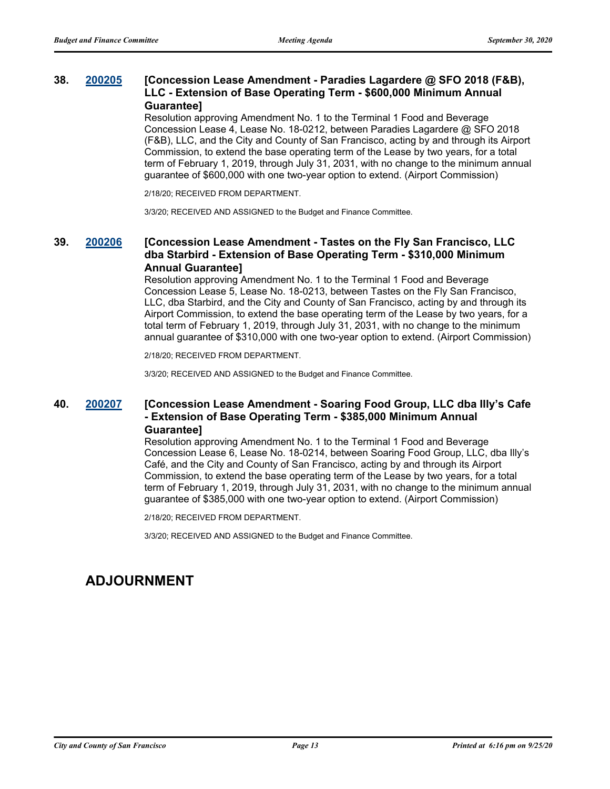### **38. [200205](http://sfgov.legistar.com/gateway.aspx?m=l&id=35641) [Concession Lease Amendment - Paradies Lagardere @ SFO 2018 (F&B), LLC - Extension of Base Operating Term - \$600,000 Minimum Annual Guarantee]**

Resolution approving Amendment No. 1 to the Terminal 1 Food and Beverage Concession Lease 4, Lease No. 18-0212, between Paradies Lagardere @ SFO 2018 (F&B), LLC, and the City and County of San Francisco, acting by and through its Airport Commission, to extend the base operating term of the Lease by two years, for a total term of February 1, 2019, through July 31, 2031, with no change to the minimum annual guarantee of \$600,000 with one two-year option to extend. (Airport Commission)

2/18/20; RECEIVED FROM DEPARTMENT.

3/3/20; RECEIVED AND ASSIGNED to the Budget and Finance Committee.

## **39. [200206](http://sfgov.legistar.com/gateway.aspx?m=l&id=35642) [Concession Lease Amendment - Tastes on the Fly San Francisco, LLC dba Starbird - Extension of Base Operating Term - \$310,000 Minimum Annual Guarantee]**

Resolution approving Amendment No. 1 to the Terminal 1 Food and Beverage Concession Lease 5, Lease No. 18-0213, between Tastes on the Fly San Francisco, LLC, dba Starbird, and the City and County of San Francisco, acting by and through its Airport Commission, to extend the base operating term of the Lease by two years, for a total term of February 1, 2019, through July 31, 2031, with no change to the minimum annual guarantee of \$310,000 with one two-year option to extend. (Airport Commission)

2/18/20; RECEIVED FROM DEPARTMENT.

3/3/20; RECEIVED AND ASSIGNED to the Budget and Finance Committee.

## **40. [200207](http://sfgov.legistar.com/gateway.aspx?m=l&id=35643) [Concession Lease Amendment - Soaring Food Group, LLC dba Illy's Cafe - Extension of Base Operating Term - \$385,000 Minimum Annual Guarantee]**

Resolution approving Amendment No. 1 to the Terminal 1 Food and Beverage Concession Lease 6, Lease No. 18-0214, between Soaring Food Group, LLC, dba Illy's Café, and the City and County of San Francisco, acting by and through its Airport Commission, to extend the base operating term of the Lease by two years, for a total term of February 1, 2019, through July 31, 2031, with no change to the minimum annual guarantee of \$385,000 with one two-year option to extend. (Airport Commission)

2/18/20; RECEIVED FROM DEPARTMENT.

3/3/20; RECEIVED AND ASSIGNED to the Budget and Finance Committee.

# **ADJOURNMENT**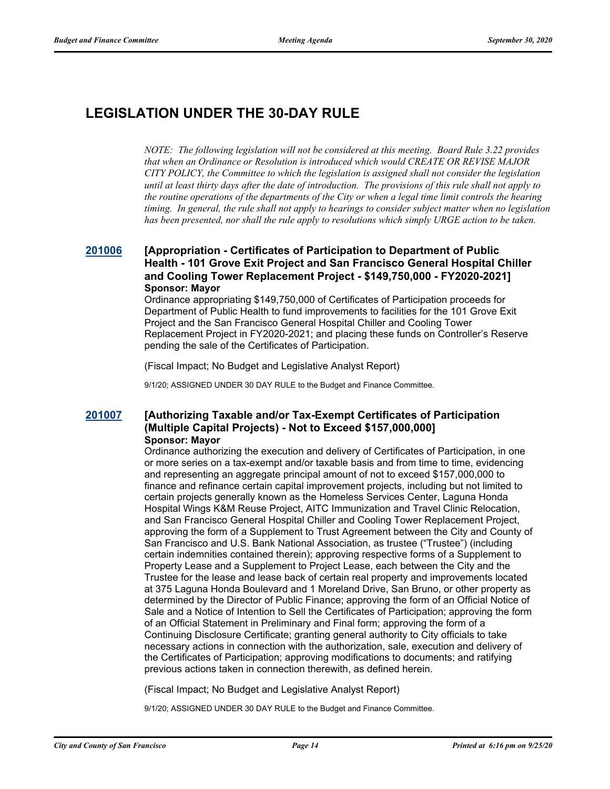# **LEGISLATION UNDER THE 30-DAY RULE**

*NOTE: The following legislation will not be considered at this meeting. Board Rule 3.22 provides that when an Ordinance or Resolution is introduced which would CREATE OR REVISE MAJOR CITY POLICY, the Committee to which the legislation is assigned shall not consider the legislation until at least thirty days after the date of introduction. The provisions of this rule shall not apply to the routine operations of the departments of the City or when a legal time limit controls the hearing timing. In general, the rule shall not apply to hearings to consider subject matter when no legislation has been presented, nor shall the rule apply to resolutions which simply URGE action to be taken.*

## **[201006](http://sfgov.legistar.com/gateway.aspx?m=l&id=36442) [Appropriation - Certificates of Participation to Department of Public Health - 101 Grove Exit Project and San Francisco General Hospital Chiller and Cooling Tower Replacement Project - \$149,750,000 - FY2020-2021] Sponsor: Mayor**

Ordinance appropriating \$149,750,000 of Certificates of Participation proceeds for Department of Public Health to fund improvements to facilities for the 101 Grove Exit Project and the San Francisco General Hospital Chiller and Cooling Tower Replacement Project in FY2020-2021; and placing these funds on Controller's Reserve pending the sale of the Certificates of Participation.

(Fiscal Impact; No Budget and Legislative Analyst Report)

9/1/20; ASSIGNED UNDER 30 DAY RULE to the Budget and Finance Committee.

## **[201007](http://sfgov.legistar.com/gateway.aspx?m=l&id=36443) [Authorizing Taxable and/or Tax-Exempt Certificates of Participation (Multiple Capital Projects) - Not to Exceed \$157,000,000] Sponsor: Mayor**

Ordinance authorizing the execution and delivery of Certificates of Participation, in one or more series on a tax-exempt and/or taxable basis and from time to time, evidencing and representing an aggregate principal amount of not to exceed \$157,000,000 to finance and refinance certain capital improvement projects, including but not limited to certain projects generally known as the Homeless Services Center, Laguna Honda Hospital Wings K&M Reuse Project, AITC Immunization and Travel Clinic Relocation, and San Francisco General Hospital Chiller and Cooling Tower Replacement Project, approving the form of a Supplement to Trust Agreement between the City and County of San Francisco and U.S. Bank National Association, as trustee ("Trustee") (including certain indemnities contained therein); approving respective forms of a Supplement to Property Lease and a Supplement to Project Lease, each between the City and the Trustee for the lease and lease back of certain real property and improvements located at 375 Laguna Honda Boulevard and 1 Moreland Drive, San Bruno, or other property as determined by the Director of Public Finance; approving the form of an Official Notice of Sale and a Notice of Intention to Sell the Certificates of Participation; approving the form of an Official Statement in Preliminary and Final form; approving the form of a Continuing Disclosure Certificate; granting general authority to City officials to take necessary actions in connection with the authorization, sale, execution and delivery of the Certificates of Participation; approving modifications to documents; and ratifying previous actions taken in connection therewith, as defined herein.

(Fiscal Impact; No Budget and Legislative Analyst Report)

9/1/20; ASSIGNED UNDER 30 DAY RULE to the Budget and Finance Committee.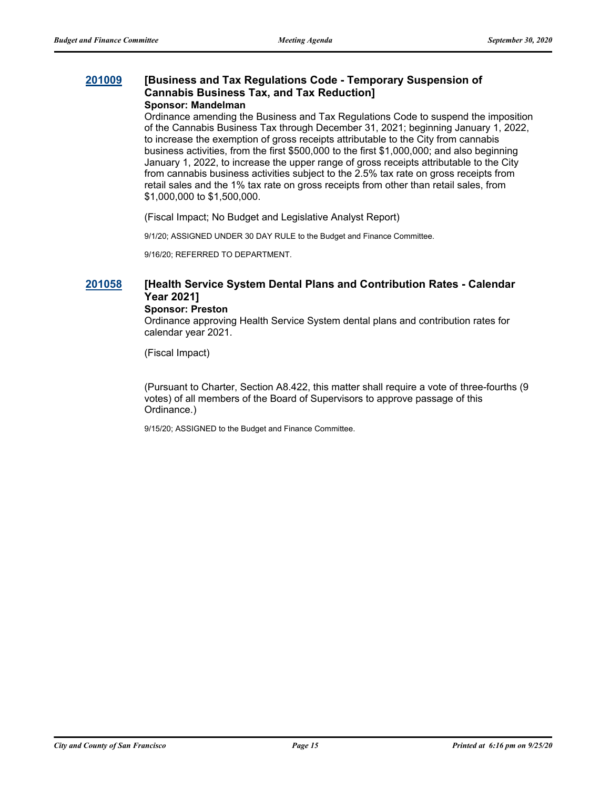#### **[201009](http://sfgov.legistar.com/gateway.aspx?m=l&id=36445) [Business and Tax Regulations Code - Temporary Suspension of Cannabis Business Tax, and Tax Reduction] Sponsor: Mandelman**

Ordinance amending the Business and Tax Regulations Code to suspend the imposition of the Cannabis Business Tax through December 31, 2021; beginning January 1, 2022, to increase the exemption of gross receipts attributable to the City from cannabis business activities, from the first \$500,000 to the first \$1,000,000; and also beginning January 1, 2022, to increase the upper range of gross receipts attributable to the City from cannabis business activities subject to the 2.5% tax rate on gross receipts from retail sales and the 1% tax rate on gross receipts from other than retail sales, from \$1,000,000 to \$1,500,000.

(Fiscal Impact; No Budget and Legislative Analyst Report)

9/1/20; ASSIGNED UNDER 30 DAY RULE to the Budget and Finance Committee.

9/16/20; REFERRED TO DEPARTMENT.

# **[201058](http://sfgov.legistar.com/gateway.aspx?m=l&id=36494) [Health Service System Dental Plans and Contribution Rates - Calendar Year 2021]**

#### **Sponsor: Preston**

Ordinance approving Health Service System dental plans and contribution rates for calendar year 2021.

(Fiscal Impact)

(Pursuant to Charter, Section A8.422, this matter shall require a vote of three-fourths (9 votes) of all members of the Board of Supervisors to approve passage of this Ordinance.)

9/15/20; ASSIGNED to the Budget and Finance Committee.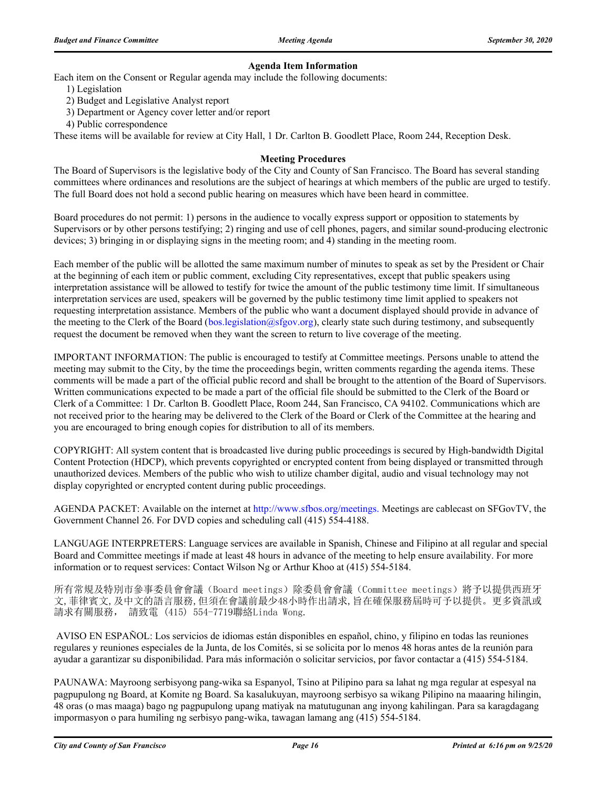#### **Agenda Item Information**

Each item on the Consent or Regular agenda may include the following documents:

- 1) Legislation
- 2) Budget and Legislative Analyst report
- 3) Department or Agency cover letter and/or report
- 4) Public correspondence

These items will be available for review at City Hall, 1 Dr. Carlton B. Goodlett Place, Room 244, Reception Desk.

#### **Meeting Procedures**

The Board of Supervisors is the legislative body of the City and County of San Francisco. The Board has several standing committees where ordinances and resolutions are the subject of hearings at which members of the public are urged to testify. The full Board does not hold a second public hearing on measures which have been heard in committee.

Board procedures do not permit: 1) persons in the audience to vocally express support or opposition to statements by Supervisors or by other persons testifying; 2) ringing and use of cell phones, pagers, and similar sound-producing electronic devices; 3) bringing in or displaying signs in the meeting room; and 4) standing in the meeting room.

Each member of the public will be allotted the same maximum number of minutes to speak as set by the President or Chair at the beginning of each item or public comment, excluding City representatives, except that public speakers using interpretation assistance will be allowed to testify for twice the amount of the public testimony time limit. If simultaneous interpretation services are used, speakers will be governed by the public testimony time limit applied to speakers not requesting interpretation assistance. Members of the public who want a document displayed should provide in advance of the meeting to the Clerk of the Board (bos.legislation@sfgov.org), clearly state such during testimony, and subsequently request the document be removed when they want the screen to return to live coverage of the meeting.

IMPORTANT INFORMATION: The public is encouraged to testify at Committee meetings. Persons unable to attend the meeting may submit to the City, by the time the proceedings begin, written comments regarding the agenda items. These comments will be made a part of the official public record and shall be brought to the attention of the Board of Supervisors. Written communications expected to be made a part of the official file should be submitted to the Clerk of the Board or Clerk of a Committee: 1 Dr. Carlton B. Goodlett Place, Room 244, San Francisco, CA 94102. Communications which are not received prior to the hearing may be delivered to the Clerk of the Board or Clerk of the Committee at the hearing and you are encouraged to bring enough copies for distribution to all of its members.

COPYRIGHT: All system content that is broadcasted live during public proceedings is secured by High-bandwidth Digital Content Protection (HDCP), which prevents copyrighted or encrypted content from being displayed or transmitted through unauthorized devices. Members of the public who wish to utilize chamber digital, audio and visual technology may not display copyrighted or encrypted content during public proceedings.

AGENDA PACKET: Available on the internet at http://www.sfbos.org/meetings. Meetings are cablecast on SFGovTV, the Government Channel 26. For DVD copies and scheduling call (415) 554-4188.

LANGUAGE INTERPRETERS: Language services are available in Spanish, Chinese and Filipino at all regular and special Board and Committee meetings if made at least 48 hours in advance of the meeting to help ensure availability. For more information or to request services: Contact Wilson Ng or Arthur Khoo at (415) 554-5184.

所有常規及特別市參事委員會會議(Board meetings)除委員會會議(Committee meetings)將予以提供西班牙 文,菲律賓文,及中文的語言服務,但須在會議前最少48小時作出請求,旨在確保服務屆時可予以提供。更多資訊或 請求有關服務, 請致電 (415) 554-7719聯絡Linda Wong.

 AVISO EN ESPAÑOL: Los servicios de idiomas están disponibles en español, chino, y filipino en todas las reuniones regulares y reuniones especiales de la Junta, de los Comités, si se solicita por lo menos 48 horas antes de la reunión para ayudar a garantizar su disponibilidad. Para más información o solicitar servicios, por favor contactar a (415) 554-5184.

PAUNAWA: Mayroong serbisyong pang-wika sa Espanyol, Tsino at Pilipino para sa lahat ng mga regular at espesyal na pagpupulong ng Board, at Komite ng Board. Sa kasalukuyan, mayroong serbisyo sa wikang Pilipino na maaaring hilingin, 48 oras (o mas maaga) bago ng pagpupulong upang matiyak na matutugunan ang inyong kahilingan. Para sa karagdagang impormasyon o para humiling ng serbisyo pang-wika, tawagan lamang ang (415) 554-5184.